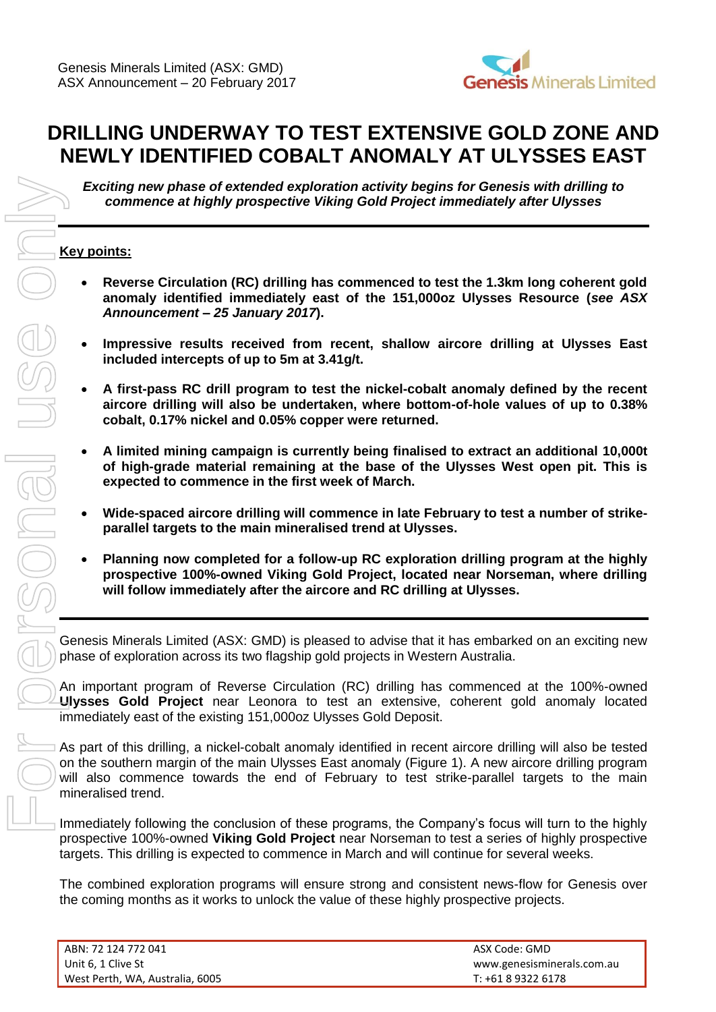

# **DRILLING UNDERWAY TO TEST EXTENSIVE GOLD ZONE AND NEWLY IDENTIFIED COBALT ANOMALY AT ULYSSES EAST**

*Exciting new phase of extended exploration activity begins for Genesis with drilling to commence at highly prospective Viking Gold Project immediately after Ulysses* 

### **Key points:**

- **Reverse Circulation (RC) drilling has commenced to test the 1.3km long coherent gold anomaly identified immediately east of the 151,000oz Ulysses Resource (***see ASX Announcement – 25 January 2017***).**
- **Impressive results received from recent, shallow aircore drilling at Ulysses East included intercepts of up to 5m at 3.41g/t.**
- **A first-pass RC drill program to test the nickel-cobalt anomaly defined by the recent aircore drilling will also be undertaken, where bottom-of-hole values of up to 0.38% cobalt, 0.17% nickel and 0.05% copper were returned.**
- **A limited mining campaign is currently being finalised to extract an additional 10,000t of high-grade material remaining at the base of the Ulysses West open pit. This is expected to commence in the first week of March.**
- **Wide-spaced aircore drilling will commence in late February to test a number of strikeparallel targets to the main mineralised trend at Ulysses.**
- **Planning now completed for a follow-up RC exploration drilling program at the highly prospective 100%-owned Viking Gold Project, located near Norseman, where drilling will follow immediately after the aircore and RC drilling at Ulysses.**

Genesis Minerals Limited (ASX: GMD) is pleased to advise that it has embarked on an exciting new phase of exploration across its two flagship gold projects in Western Australia.

An important program of Reverse Circulation (RC) drilling has commenced at the 100%-owned **Ulysses Gold Project** near Leonora to test an extensive, coherent gold anomaly located immediately east of the existing 151,000oz Ulysses Gold Deposit.

As part of this drilling, a nickel-cobalt anomaly identified in recent aircore drilling will also be tested on the southern margin of the main Ulysses East anomaly (Figure 1). A new aircore drilling program will also commence towards the end of February to test strike-parallel targets to the main mineralised trend.

Immediately following the conclusion of these programs, the Company's focus will turn to the highly prospective 100%-owned **Viking Gold Project** near Norseman to test a series of highly prospective targets. This drilling is expected to commence in March and will continue for several weeks.

The combined exploration programs will ensure strong and consistent news-flow for Genesis over

| ABN: 72 124 772 041             | ASX Code: GMD              |  |
|---------------------------------|----------------------------|--|
| Unit 6, 1 Clive St              | www.genesisminerals.com.au |  |
| West Perth, WA, Australia, 6005 | T: +61 8 9322 6178         |  |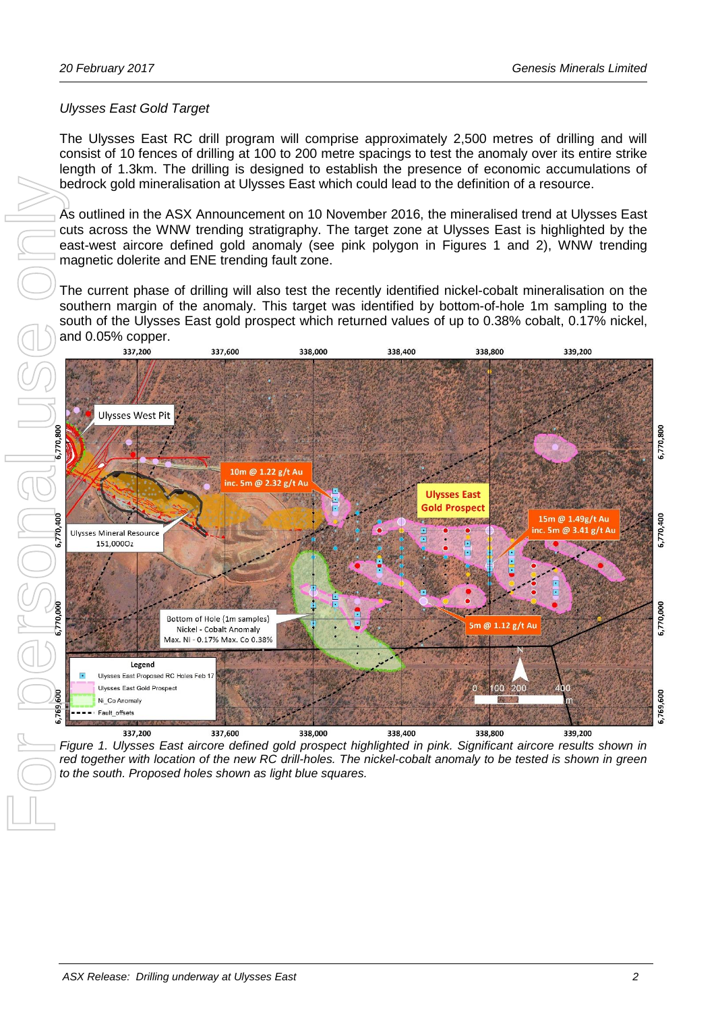## *Ulysses East Gold Target*

The Ulysses East RC drill program will comprise approximately 2,500 metres of drilling and will consist of 10 fences of drilling at 100 to 200 metre spacings to test the anomaly over its entire strike length of 1.3km. The drilling is designed to establish the presence of economic accumulations of bedrock gold mineralisation at Ulysses East which could lead to the definition of a resource.

As outlined in the ASX Announcement on 10 November 2016, the mineralised trend at Ulysses East cuts across the WNW trending stratigraphy. The target zone at Ulysses East is highlighted by the east-west aircore defined gold anomaly (see pink polygon in Figures 1 and 2), WNW trending magnetic dolerite and ENE trending fault zone.

The current phase of drilling will also test the recently identified nickel-cobalt mineralisation on the southern margin of the anomaly. This target was identified by bottom-of-hole 1m sampling to the south of the Ulysses East gold prospect which returned values of up to 0.38% cobalt, 0.17% nickel, and 0.05% copper.<br>337.200



*Figure 1. Ulysses East aircore defined gold prospect highlighted in pink. Significant aircore results shown in red together with location of the new RC drill-holes. The nickel-cobalt anomaly to be tested is shown in green*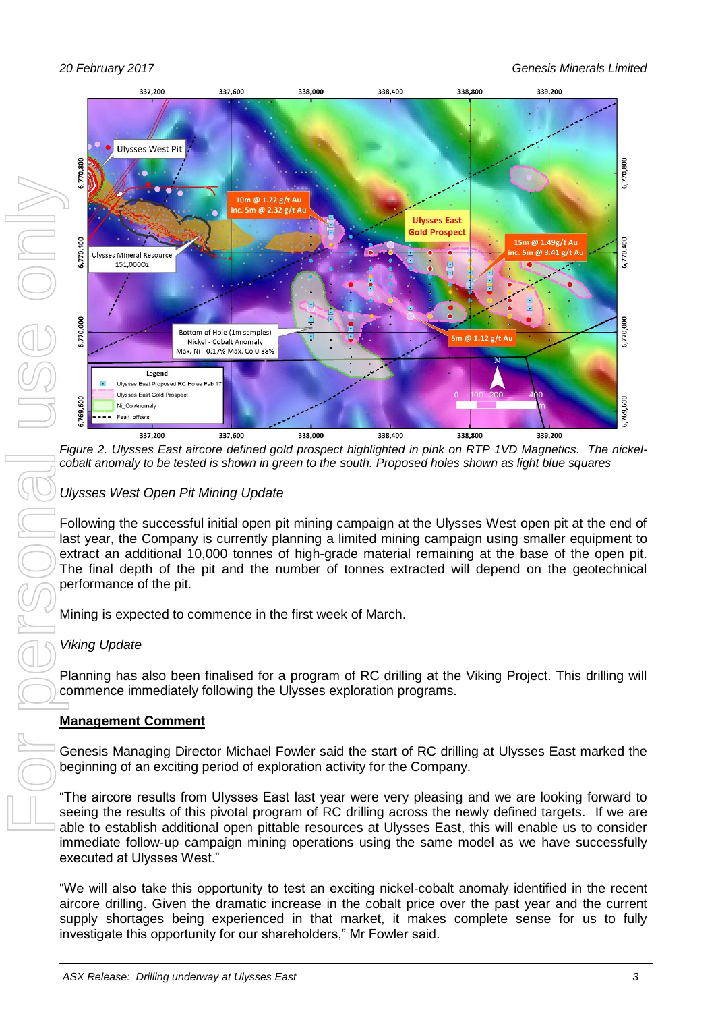

*Figure 2. Ulysses East aircore defined gold prospect highlighted in pink on RTP 1VD Magnetics. The nickelcobalt anomaly to be tested is shown in green to the south. Proposed holes shown as light blue squares*

# *Ulysses West Open Pit Mining Update*

Following the successful initial open pit mining campaign at the Ulysses West open pit at the end of last year, the Company is currently planning a limited mining campaign using smaller equipment to extract an additional 10,000 tonnes of high-grade material remaining at the base of the open pit. The final depth of the pit and the number of tonnes extracted will depend on the geotechnical performance of the pit.

Mining is expected to commence in the first week of March.

### *Viking Update*

Planning has also been finalised for a program of RC drilling at the Viking Project. This drilling will commence immediately following the Ulysses exploration programs.

# **Management Comment**

Genesis Managing Director Michael Fowler said the start of RC drilling at Ulysses East marked the beginning of an exciting period of exploration activity for the Company.

"The aircore results from Ulysses East last year were very pleasing and we are looking forward to seeing the results of this pivotal program of RC drilling across the newly defined targets. If we are able to establish additional open pittable resources at Ulysses East, this will enable us to consider immediate follow-up campaign mining operations using the same model as we have successfully executed at Ulysses West."

"We will also take this opportunity to test an exciting nickel-cobalt anomaly identified in the recent aircore drilling. Given the dramatic increase in the cobalt price over the past year and the current supply shortages being experienced in that market, it makes complete sense for us to fully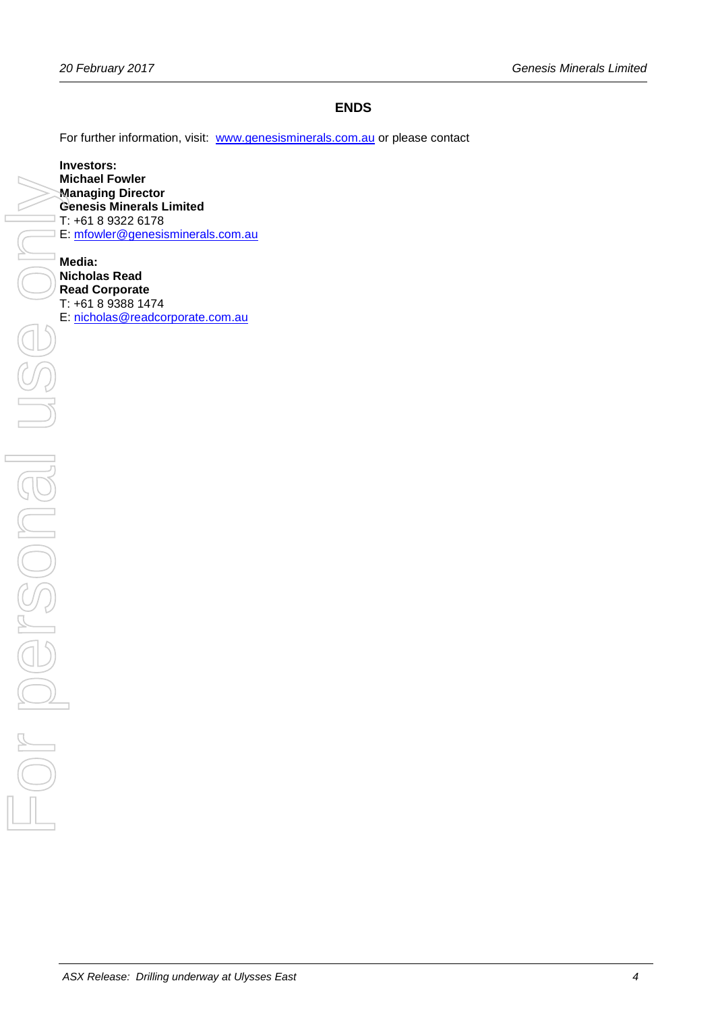### **ENDS**

For further information, visit: [www.genesisminerals.com.au](http://www.genesisminerals.com.au/) or please contact

# **Investors:**

**Michael Fowler Managing Director Genesis Minerals Limited** T: +61 8 9322 6178 E: [mfowler@genesisminerals.com.au](mailto:mfowler@genesisminerals.com.au)

**Media: Nicholas Read Read Corporate**  T: +61 8 9388 1474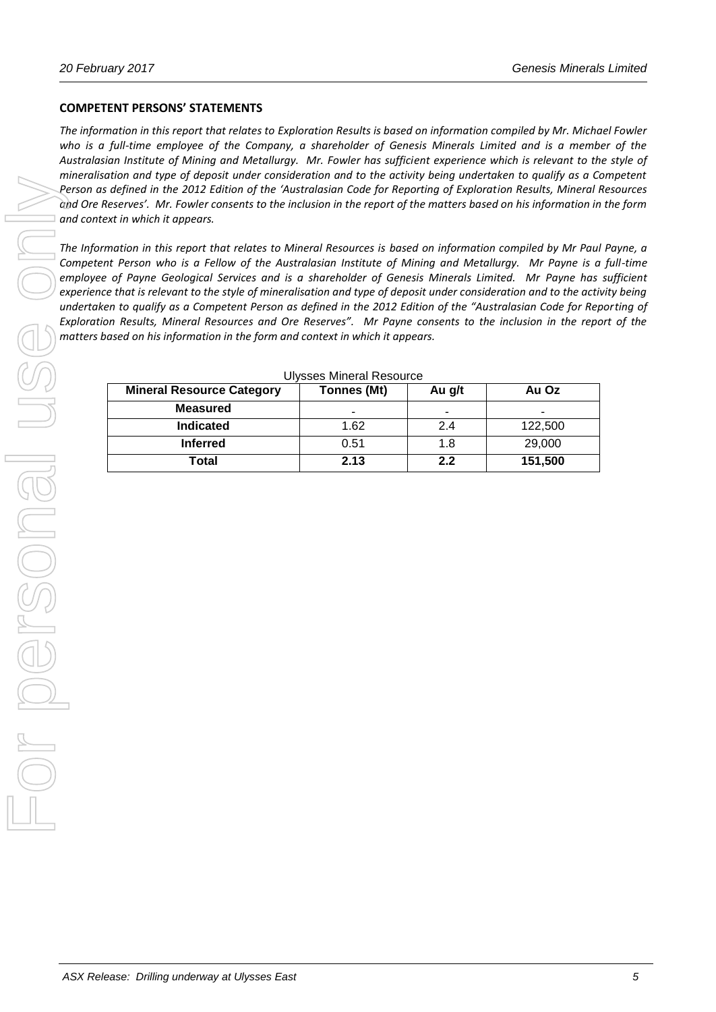#### **COMPETENT PERSONS' STATEMENTS**

*The information in this report that relates to Exploration Results is based on information compiled by Mr. Michael Fowler who is a full-time employee of the Company, a shareholder of Genesis Minerals Limited and is a member of the Australasian Institute of Mining and Metallurgy. Mr. Fowler has sufficient experience which is relevant to the style of mineralisation and type of deposit under consideration and to the activity being undertaken to qualify as a Competent Person as defined in the 2012 Edition of the 'Australasian Code for Reporting of Exploration Results, Mineral Resources and Ore Reserves'. Mr. Fowler consents to the inclusion in the report of the matters based on his information in the form and context in which it appears.*

*The Information in this report that relates to Mineral Resources is based on information compiled by Mr Paul Payne, a Competent Person who is a Fellow of the Australasian Institute of Mining and Metallurgy. Mr Payne is a full-time*  employee of Payne Geological Services and is a shareholder of Genesis Minerals Limited. Mr Payne has sufficient *experience that is relevant to the style of mineralisation and type of deposit under consideration and to the activity being undertaken to qualify as a Competent Person as defined in the 2012 Edition of the "Australasian Code for Reporting of Exploration Results, Mineral Resources and Ore Reserves". Mr Payne consents to the inclusion in the report of the matters based on his information in the form and context in which it appears.*

| <b>Mineral Resource Category</b> | Tonnes (Mt) | Au g/t         | Au Oz   |
|----------------------------------|-------------|----------------|---------|
| <b>Measured</b>                  | -           | $\blacksquare$ | -       |
| Indicated                        | 1.62        | 2.4            | 122,500 |
| <b>Inferred</b>                  | 0.51        | 1.8            | 29,000  |
| Total                            | 2.13        | 2.2            | 151,500 |

#### Ulysses Mineral Resource